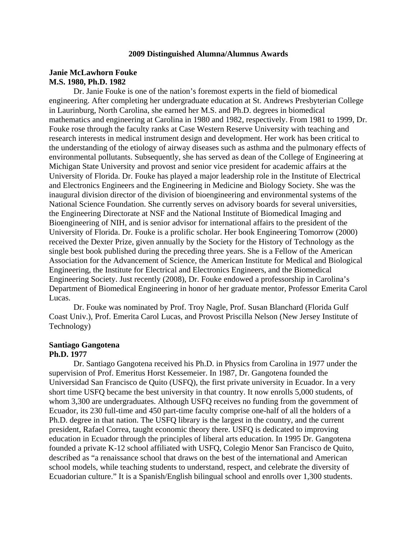#### **2009 Distinguished Alumna/Alumnus Awards**

### **Janie McLawhorn Fouke M.S. 1980, Ph.D. 1982**

Dr. Janie Fouke is one of the nation's foremost experts in the field of biomedical engineering. After completing her undergraduate education at St. Andrews Presbyterian College in Laurinburg, North Carolina, she earned her M.S. and Ph.D. degrees in biomedical mathematics and engineering at Carolina in 1980 and 1982, respectively. From 1981 to 1999, Dr. Fouke rose through the faculty ranks at Case Western Reserve University with teaching and research interests in medical instrument design and development. Her work has been critical to the understanding of the etiology of airway diseases such as asthma and the pulmonary effects of environmental pollutants. Subsequently, she has served as dean of the College of Engineering at Michigan State University and provost and senior vice president for academic affairs at the University of Florida. Dr. Fouke has played a major leadership role in the Institute of Electrical and Electronics Engineers and the Engineering in Medicine and Biology Society. She was the inaugural division director of the division of bioengineering and environmental systems of the National Science Foundation. She currently serves on advisory boards for several universities, the Engineering Directorate at NSF and the National Institute of Biomedical Imaging and Bioengineering of NIH, and is senior advisor for international affairs to the president of the University of Florida. Dr. Fouke is a prolific scholar. Her book Engineering Tomorrow (2000) received the Dexter Prize, given annually by the Society for the History of Technology as the single best book published during the preceding three years. She is a Fellow of the American Association for the Advancement of Science, the American Institute for Medical and Biological Engineering, the Institute for Electrical and Electronics Engineers, and the Biomedical Engineering Society. Just recently (2008), Dr. Fouke endowed a professorship in Carolina's Department of Biomedical Engineering in honor of her graduate mentor, Professor Emerita Carol Lucas.

Dr. Fouke was nominated by Prof. Troy Nagle, Prof. Susan Blanchard (Florida Gulf Coast Univ.), Prof. Emerita Carol Lucas, and Provost Priscilla Nelson (New Jersey Institute of Technology)

## **Santiago Gangotena**

### **Ph.D. 1977**

Dr. Santiago Gangotena received his Ph.D. in Physics from Carolina in 1977 under the supervision of Prof. Emeritus Horst Kessemeier. In 1987, Dr. Gangotena founded the Universidad San Francisco de Quito (USFQ), the first private university in Ecuador. In a very short time USFQ became the best university in that country. It now enrolls 5,000 students, of whom 3,300 are undergraduates. Although USFQ receives no funding from the government of Ecuador, its 230 full-time and 450 part-time faculty comprise one-half of all the holders of a Ph.D. degree in that nation. The USFQ library is the largest in the country, and the current president, Rafael Correa, taught economic theory there. USFQ is dedicated to improving education in Ecuador through the principles of liberal arts education. In 1995 Dr. Gangotena founded a private K-12 school affiliated with USFQ, Colegio Menor San Francisco de Quito, described as "a renaissance school that draws on the best of the international and American school models, while teaching students to understand, respect, and celebrate the diversity of Ecuadorian culture." It is a Spanish/English bilingual school and enrolls over 1,300 students.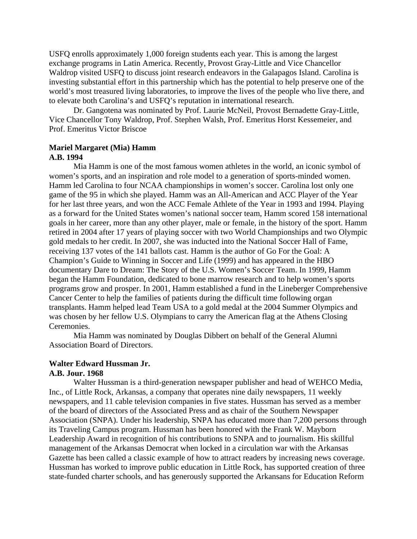USFQ enrolls approximately 1,000 foreign students each year. This is among the largest exchange programs in Latin America. Recently, Provost Gray-Little and Vice Chancellor Waldrop visited USFQ to discuss joint research endeavors in the Galapagos Island. Carolina is investing substantial effort in this partnership which has the potential to help preserve one of the world's most treasured living laboratories, to improve the lives of the people who live there, and to elevate both Carolina's and USFQ's reputation in international research.

Dr. Gangotena was nominated by Prof. Laurie McNeil, Provost Bernadette Gray-Little, Vice Chancellor Tony Waldrop, Prof. Stephen Walsh, Prof. Emeritus Horst Kessemeier, and Prof. Emeritus Victor Briscoe

# **Mariel Margaret (Mia) Hamm**

## **A.B. 1994**

Mia Hamm is one of the most famous women athletes in the world, an iconic symbol of women's sports, and an inspiration and role model to a generation of sports-minded women. Hamm led Carolina to four NCAA championships in women's soccer. Carolina lost only one game of the 95 in which she played. Hamm was an All-American and ACC Player of the Year for her last three years, and won the ACC Female Athlete of the Year in 1993 and 1994. Playing as a forward for the United States women's national soccer team, Hamm scored 158 international goals in her career, more than any other player, male or female, in the history of the sport. Hamm retired in 2004 after 17 years of playing soccer with two World Championships and two Olympic gold medals to her credit. In 2007, she was inducted into the National Soccer Hall of Fame, receiving 137 votes of the 141 ballots cast. Hamm is the author of Go For the Goal: A Champion's Guide to Winning in Soccer and Life (1999) and has appeared in the HBO documentary Dare to Dream: The Story of the U.S. Women's Soccer Team. In 1999, Hamm began the Hamm Foundation, dedicated to bone marrow research and to help women's sports programs grow and prosper. In 2001, Hamm established a fund in the Lineberger Comprehensive Cancer Center to help the families of patients during the difficult time following organ transplants. Hamm helped lead Team USA to a gold medal at the 2004 Summer Olympics and was chosen by her fellow U.S. Olympians to carry the American flag at the Athens Closing Ceremonies.

Mia Hamm was nominated by Douglas Dibbert on behalf of the General Alumni Association Board of Directors.

# **Walter Edward Hussman Jr.**

### **A.B. Jour. 1968**

Walter Hussman is a third-generation newspaper publisher and head of WEHCO Media, Inc., of Little Rock, Arkansas, a company that operates nine daily newspapers, 11 weekly newspapers, and 11 cable television companies in five states. Hussman has served as a member of the board of directors of the Associated Press and as chair of the Southern Newspaper Association (SNPA). Under his leadership, SNPA has educated more than 7,200 persons through its Traveling Campus program. Hussman has been honored with the Frank W. Mayborn Leadership Award in recognition of his contributions to SNPA and to journalism. His skillful management of the Arkansas Democrat when locked in a circulation war with the Arkansas Gazette has been called a classic example of how to attract readers by increasing news coverage. Hussman has worked to improve public education in Little Rock, has supported creation of three state-funded charter schools, and has generously supported the Arkansans for Education Reform